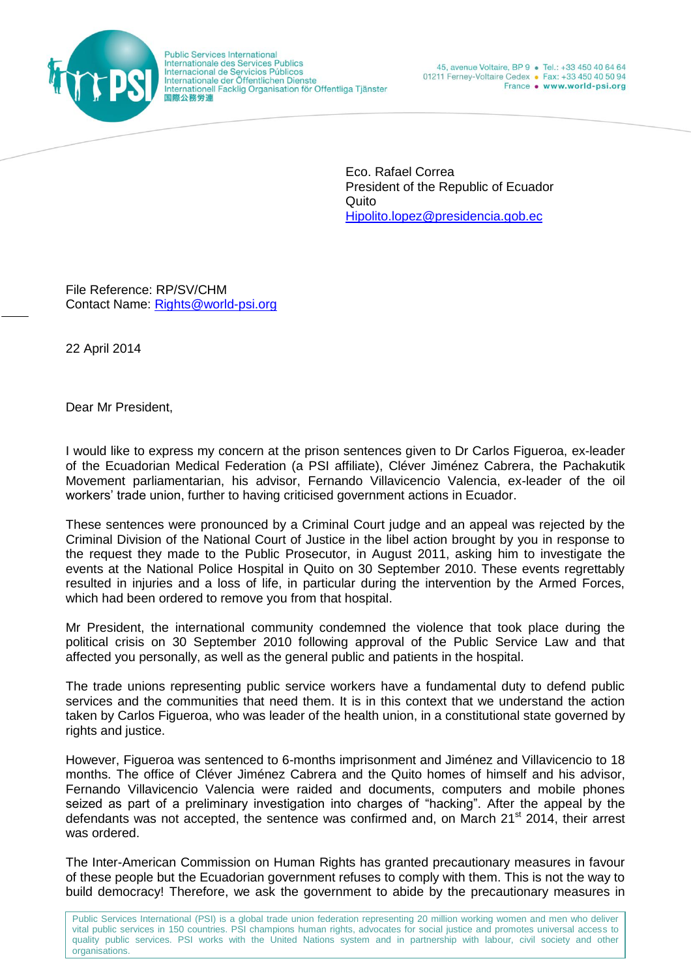

**Public Services International<br>Internationale des Services Publics** Internacional de Servicios Públicos Internationale der Öffentlichen Dienste<br>Internationale der Öffentlichen Dienste 国際公務労連

Eco. Rafael Correa President of the Republic of Ecuador Quito [Hipolito.lopez@presidencia.gob.ec](mailto:Hipolito.lopez@presidencia.gob.ec)

File Reference: RP/SV/CHM Contact Name: [Rights@world-psi.org](mailto:Rights@world-psi.org)

22 April 2014

Dear Mr President,

I would like to express my concern at the prison sentences given to Dr Carlos Figueroa, ex-leader of the Ecuadorian Medical Federation (a PSI affiliate), Cléver Jiménez Cabrera, the Pachakutik Movement parliamentarian, his advisor, Fernando Villavicencio Valencia, ex-leader of the oil workers' trade union, further to having criticised government actions in Ecuador.

These sentences were pronounced by a Criminal Court judge and an appeal was rejected by the Criminal Division of the National Court of Justice in the libel action brought by you in response to the request they made to the Public Prosecutor, in August 2011, asking him to investigate the events at the National Police Hospital in Quito on 30 September 2010. These events regrettably resulted in injuries and a loss of life, in particular during the intervention by the Armed Forces, which had been ordered to remove you from that hospital.

Mr President, the international community condemned the violence that took place during the political crisis on 30 September 2010 following approval of the Public Service Law and that affected you personally, as well as the general public and patients in the hospital.

The trade unions representing public service workers have a fundamental duty to defend public services and the communities that need them. It is in this context that we understand the action taken by Carlos Figueroa, who was leader of the health union, in a constitutional state governed by rights and justice.

However, Figueroa was sentenced to 6-months imprisonment and Jiménez and Villavicencio to 18 months. The office of Cléver Jiménez Cabrera and the Quito homes of himself and his advisor, Fernando Villavicencio Valencia were raided and documents, computers and mobile phones seized as part of a preliminary investigation into charges of "hacking". After the appeal by the defendants was not accepted, the sentence was confirmed and, on March 21<sup>st</sup> 2014, their arrest was ordered.

The Inter-American Commission on Human Rights has granted precautionary measures in favour of these people but the Ecuadorian government refuses to comply with them. This is not the way to build democracy! Therefore, we ask the government to abide by the precautionary measures in

Public Services International (PSI) is a global trade union federation representing 20 million working women and men who deliver vital public services in 150 countries. PSI champions human rights, advocates for social justice and promotes universal access to quality public services. PSI works with the United Nations system and in partnership with labour, civil society and other organisations.